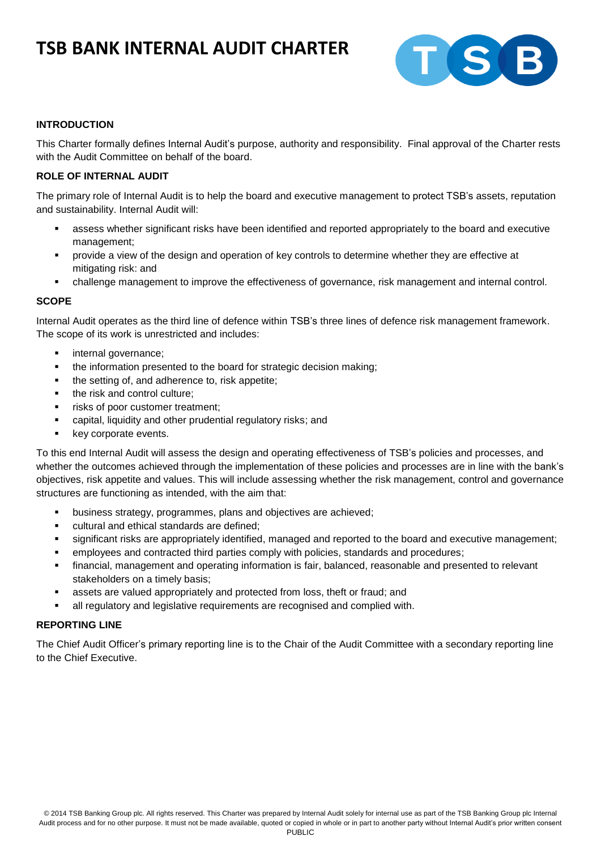# **TSB BANK INTERNAL AUDIT CHARTER**



## **INTRODUCTION**

This Charter formally defines Internal Audit's purpose, authority and responsibility. Final approval of the Charter rests with the Audit Committee on behalf of the board.

## **ROLE OF INTERNAL AUDIT**

The primary role of Internal Audit is to help the board and executive management to protect TSB's assets, reputation and sustainability. Internal Audit will:

- assess whether significant risks have been identified and reported appropriately to the board and executive management;
- provide a view of the design and operation of key controls to determine whether they are effective at mitigating risk: and
- challenge management to improve the effectiveness of governance, risk management and internal control.

### **SCOPE**

Internal Audit operates as the third line of defence within TSB's three lines of defence risk management framework. The scope of its work is unrestricted and includes:

- internal governance;
- the information presented to the board for strategic decision making;
- the setting of, and adherence to, risk appetite;
- the risk and control culture:
- **Figure 1** risks of poor customer treatment;
- capital, liquidity and other prudential regulatory risks; and
- key corporate events.

To this end Internal Audit will assess the design and operating effectiveness of TSB's policies and processes, and whether the outcomes achieved through the implementation of these policies and processes are in line with the bank's objectives, risk appetite and values. This will include assessing whether the risk management, control and governance structures are functioning as intended, with the aim that:

- business strategy, programmes, plans and objectives are achieved;
- **EXECUTE 2018** Cultural and ethical standards are defined:
- significant risks are appropriately identified, managed and reported to the board and executive management;
- employees and contracted third parties comply with policies, standards and procedures;
- financial, management and operating information is fair, balanced, reasonable and presented to relevant stakeholders on a timely basis;
- assets are valued appropriately and protected from loss, theft or fraud; and
- all regulatory and legislative requirements are recognised and complied with.

### **REPORTING LINE**

The Chief Audit Officer's primary reporting line is to the Chair of the Audit Committee with a secondary reporting line to the Chief Executive.